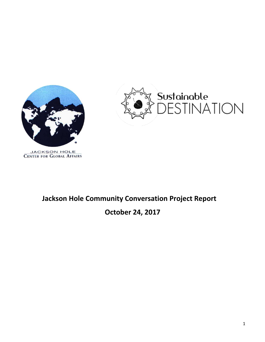



# JACKSON HOLE<br>CENTER FOR GLOBAL AFFAIRS

## **Jackson Hole Community Conversation Project Report**

## **October 24, 2017**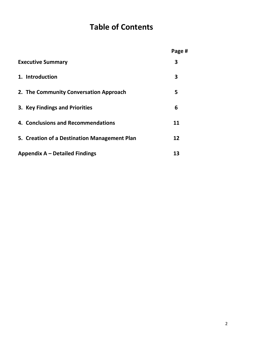# **Table of Contents**

|                                              | Page # |
|----------------------------------------------|--------|
| <b>Executive Summary</b>                     | 3      |
| 1. Introduction                              | 3      |
| 2. The Community Conversation Approach       | 5      |
| 3. Key Findings and Priorities               | 6      |
| 4. Conclusions and Recommendations           | 11     |
| 5. Creation of a Destination Management Plan | 12     |
| Appendix $A -$ Detailed Findings             | 13     |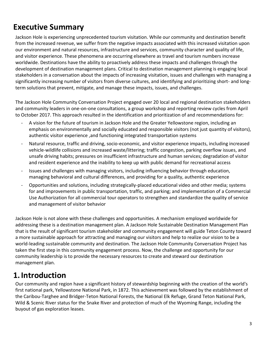# **Executive Summary**

Jackson Hole is experiencing unprecedented tourism visitation. While our community and destination benefit from the increased revenue, we suffer from the negative impacts associated with this increased visitation upon our environment and natural resources, infrastructure and services, community character and quality of life, and visitor experience. These phenomena are occurring elsewhere as travel and tourism numbers increase worldwide. Destinations have the ability to proactively address these impacts and challenges through the development of destination management plans. Critical to destination management planning is engaging local stakeholders in a conversation about the impacts of increasing visitation, issues and challenges with managing a significantly increasing number of visitors from diverse cultures, and identifying and prioritizing short- and longterm solutions that prevent, mitigate, and manage these impacts, issues, and challenges.

The Jackson Hole Community Conversation Project engaged over 20 local and regional destination stakeholders and community leaders in one-on-one consultations, a group workshop and reporting review cycles from April to October 2017. This approach resulted in the identification and prioritization of and recommendations for:

- A vision for the future of tourism in Jackson Hole and the Greater Yellowstone region, including an emphasis on environmentally and socially educated and responsible visitors (not just quantity of visitors), authentic visitor experience ,and functioning integrated transportation systems
- Natural resource, traffic and driving, socio-economic, and visitor experience impacts, including increased vehicle-wildlife collisions and increased waste/littering; traffic congestion, parking overflow issues, and unsafe driving habits; pressures on insufficient infrastructure and human services; degradation of visitor and resident experience and the inability to keep up with public demand for recreational access
- Issues and challenges with managing visitors, including influencing behavior through education, managing behavioral and cultural differences, and providing for a quality, authentic experience
- Opportunities and solutions, including strategically-placed educational video and other media; systems for and improvements in public transportation, traffic, and parking; and implementation of a Commercial Use Authorization for all commercial tour operators to strengthen and standardize the quality of service and management of visitor behavior

Jackson Hole is not alone with these challenges and opportunities. A mechanism employed worldwide for addressing these is a destination management plan. A Jackson Hole Sustainable Destination Management Plan that is the result of significant tourism stakeholder and community engagement will guide Teton County toward a more sustainable approach for attracting and managing our visitors and help to realize our vision to be a world-leading sustainable community and destination. The Jackson Hole Community Conversation Project has taken the first step in this community engagement process. Now, the challenge and opportunity for our community leadership is to provide the necessary resources to create and steward our destination management plan.

# **1.Introduction**

Our community and region have a significant history of stewardship beginning with the creation of the world's first national park, Yellowstone National Park, in 1872. This achievement was followed by the establishment of the Caribou-Targhee and Bridger-Teton National Forests, the National Elk Refuge, Grand Teton National Park, Wild & Scenic River status for the Snake River and protection of much of the Wyoming Range, including the buyout of gas exploration leases.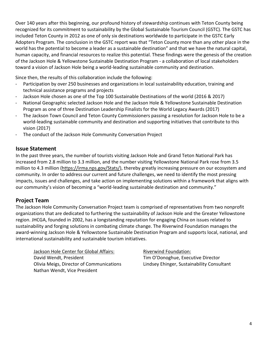Over 140 years after this beginning, our profound history of stewardship continues with Teton County being recognized for its commitment to sustainability by the Global Sustainable Tourism Council (GSTC). The GSTC has included Teton County in 2012 as one of only six destinations worldwide to participate in the GSTC Early Adopters Program. The conclusion in the GSTC report was that "Teton County more than any other place in the world has the potential to become a leader as a sustainable destination" and that we have the natural capital, human capacity, and financial resources to realize this potential. These findings were the genesis of the creation of the Jackson Hole & Yellowstone Sustainable Destination Program - a collaboration of local stakeholders toward a vision of Jackson Hole being a world-leading sustainable community and destination.

Since then, the results of this collaboration include the following:

- Participation by over 250 businesses and organizations in local sustainability education, training and technical assistance programs and projects
- Jackson Hole chosen as one of the Top 100 Sustainable Destinations of the world (2016 & 2017)
- National Geographic selected Jackson Hole and the Jackson Hole & Yellowstone Sustainable Destination Program as one of three Destination Leadership Finalists for the World Legacy Awards (2017)
- The Jackson Town Council and Teton County Commissioners passing a resolution for Jackson Hole to be a world-leading sustainable community and destination and supporting initiatives that contribute to this vision (2017)
- The conduct of the Jackson Hole Community Conversation Project

#### **Issue Statement**

In the past three years, the number of tourists visiting Jackson Hole and Grand Teton National Park has increased from 2.8 million to 3.3 million, and the number visiting Yellowstone National Park rose from 3.5 million to 4.3 million [\(https://irma.nps.gov/Stats/\)](https://irma.nps.gov/Stats/), thereby greatly increasing pressure on our ecosystem and community. In order to address our current and future challenges, we need to identify the most pressing impacts, issues and challenges, and take action on implementing solutions within a framework that aligns with our community's vision of becoming a "world-leading sustainable destination and community."

### **Project Team**

The Jackson Hole Community Conversation Project team is comprised of representatives from two nonprofit organizations that are dedicated to furthering the sustainability of Jackson Hole and the Greater Yellowstone region. JHCGA, founded in 2002, has a longstanding reputation for engaging China on issues related to sustainability and forging solutions in combating climate change. The Riverwind Foundation manages the award-winning Jackson Hole & Yellowstone Sustainable Destination Program and supports local, national, and international sustainability and sustainable tourism initiatives.

**Jackson Hole Center for Global Affairs:** David Wendt, President Olivia Meigs, Director of Communications Nathan Wendt, Vice President

Riverwind Foundation: Tim O'Donoghue, Executive Director Lindsey Ehinger, Sustainability Consultant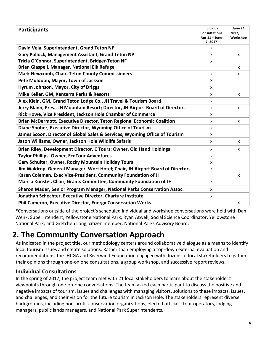| <b>Participants</b>                                                             | Individual<br><b>Consultations</b><br>Apr $11 -$ June<br>7,2017 | <b>June 21,</b><br>2017,<br>Workshop |
|---------------------------------------------------------------------------------|-----------------------------------------------------------------|--------------------------------------|
| David Vela, Superintendent, Grand Teton NP                                      | $\mathsf{x}$                                                    |                                      |
| Gary Pollock, Management Assistant, Grand Teton NP                              | X                                                               | x                                    |
| Tricia O'Connor, Superintendent, Bridger-Teton NF                               | X                                                               |                                      |
| Brian Glaspell, Manager, National Elk Refuge                                    |                                                                 | X                                    |
| <b>Mark Newcomb, Chair, Teton County Commissioners</b>                          | X                                                               | X                                    |
| Pete Muldoon, Mayor, Town of Jackson                                            | X                                                               |                                      |
| Hyrum Johnson, Mayor, City of Driggs                                            | X                                                               |                                      |
| Mike Keller, GM, Xanterra Parks & Resorts                                       | X                                                               | X                                    |
| Alex Klein, GM, Grand Teton Lodge Co., JH Travel & Tourism Board                | X                                                               |                                      |
| Jerry Blann, Pres., JH Mountain Resort; Director, JH Airport Board of Directors | X                                                               | X                                    |
| Rick Howe, Vice President, Jackson Hole Chamber of Commerce                     | X                                                               |                                      |
| <b>Brian McDermott, Executive Director, Teton Regional Economic Coalition</b>   | X                                                               | x                                    |
| Diane Shober, Executive Director, Wyoming Office of Tourism                     | X                                                               |                                      |
| James Scoon, Director of Global Sales & Services, Wyoming Office of Tourism     | x                                                               |                                      |
| Jason Williams, Owner, Jackson Hole Wildlife Safaris                            | $\mathsf{x}$                                                    | $\mathsf{x}$                         |
| Brian Riley, Development Director, C Tours; Owner, Old Hand Holdings            | $\mathsf{x}$                                                    | $\mathsf{x}$                         |
| <b>Taylor Phillips, Owner, EcoTour Adventures</b>                               | X                                                               |                                      |
| Gary Schulter, Owner, Rocky Mountain Holiday Tours                              | X                                                               |                                      |
| Jim Waldrop, General Manager, Wort Hotel; Chair, JH Airport Board of Directors  | X                                                               |                                      |
| Karen Coleman, Exec Vice-President, Community Foundation of JH                  |                                                                 | X                                    |
| Marcia Kunstel, Chair, Grants Committee, Community Foundation of JH             | X                                                               |                                      |
| Sharon Mader, Senior Program Manager, National Parks Conservation Assoc.        | X                                                               |                                      |
| Jonathan Schechter, Executive Director, Charture Institute                      | $\mathsf{x}$                                                    |                                      |
| <b>Phil Cameron, Executive Director, Energy Conservation Works</b>              |                                                                 | X                                    |

**\***Conversations outside of the project's scheduled individual and workshop conversations were held with Dan Wenk, Superintendent, Yellowstone National Park; Ryan Atwell, Social Science Coordinator, Yellowstone National Park; and Gretchen Long, citizen member, National Parks Advisory Board.

# **2. The Community Conversation Approach**

As indicated in the project title, our methodology centers around collaborative dialogue as a means to identify local tourism issues and create solutions. Rather than employing a top-down external evaluation and recommendations, the JHCGA and Riverwind Foundation engaged with dozens of local stakeholders to gather their opinions through one-on one consultations, a group workshop, and successive report reviews.

## **Individual Consultations**

In the spring of 2017, the project team met with 21 local stakeholders to learn about the stakeholders' viewpoints through one-on-one conversations. The team asked each participant to discuss the positive and negative impacts of tourism, issues and challenges with managing visitors, solutions to these impacts, issues, and challenges, and their vision for the future tourism in Jackson Hole. The stakeholders represent diverse backgrounds, including non-profit conservation organizations, elected officials, tour operators, lodging managers, public lands managers, and National Park Superintendents.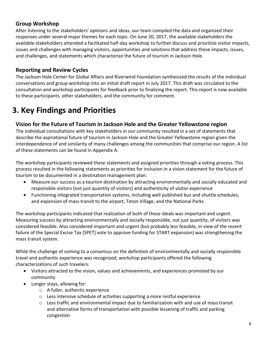## **Group Workshop**

After listening to the stakeholders' opinions and ideas, our team compiled the data and organized their responses under several major themes for each topic. On June 20, 2017, the available stakeholders the available stakeholders attended a facilitated half-day workshop to further discuss and prioritize visitor impacts, issues and challenges with managing visitors, opportunities and solutions that address these impacts, issues, and challenges, and statements which characterize the future of tourism in Jackson Hole.

## **Reporting and Review Cycles**

The Jackson Hole Center for Global Affairs and Riverwind Foundation synthesized the results of the individual conversations and group workshop into an initial draft report in July 2017. This draft was circulated to the consultation and workshop participants for feedback prior to finalizing the report. This report is now available to these participants, other stakeholders, and the community for comment.

# **3. Key Findings and Priorities**

## **Vision for the Future of Tourism in Jackson Hole and the Greater Yellowstone region**

The individual consultations with key stakeholders in our community resulted in a set of statements that describe the aspirational future of tourism in Jackson Hole and the Greater Yellowstone region given the interdependence of and similarity of many challenges among the communities that comprise our region. A list of these statements can be found in Appendix A.

The workshop participants reviewed these statements and assigned priorities through a voting process. This process resulted in the following statements as priorities for inclusion in a vision statement for the future of tourism to be documented in a destination management plan:

- Measure our success as a tourism destination by attracting environmentally and socially educated and responsible visitors (not just quantity of visitors) and authenticity of visitor experience
- Functioning integrated transportation systems, including well published bus and shuttle schedules, and expansion of mass transit to the airport, Teton Village, and the National Parks

The workshop participants indicated that realization of both of these ideals was important and urgent. Measuring success by attracting environmentally and socially responsible, not just quantity, of visitors was considered feasible. Also considered important and urgent (but probably less feasible, in view of the recent failure of the Special Excise Tax [SPET] vote to approve funding for START expansion) was strengthening the mass transit system.

While the challenge of coming to a consensus on the definition of environmentally and socially responsible travel and authentic experience was recognized, workshop participants offered the following characterizations of such travelers:

- Visitors attracted to the vision, values and achievements, and experiences promoted by our community
- Longer stays, allowing for:
	- o A fuller, authentic experience
	- o Less intensive schedule of activities supporting a more restful experience
	- $\circ$  Less traffic and environmental impact due to familiarization with and use of mass transit and alternative forms of transportation with possible lessening of traffic and parking congestion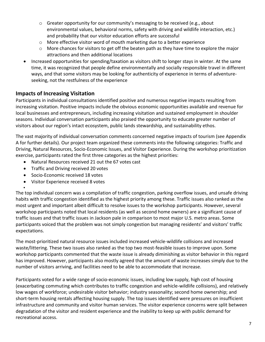- $\circ$  Greater opportunity for our community's messaging to be received (e.g., about environmental values, behavioral norms, safety with driving and wildlife interaction, etc.) and probability that our visitor education efforts are successful
- $\circ$  More effective visitor word of mouth marketing due to a better experience
- $\circ$  More chances for visitors to get off the beaten path as they have time to explore the major attractions and then additional locations
- Increased opportunities for spending/taxation as visitors shift to longer stays in winter. At the same time, it was recognized that people define environmentally and socially responsible travel in different ways, and that some visitors may be looking for authenticity of experience in terms of adventureseeking, not the restfulness of the experience

## **Impacts of Increasing Visitation**

Participants in individual consultations identified positive and numerous negative impacts resulting from increasing visitation. Positive impacts include the obvious economic opportunities available and revenue for local businesses and entrepreneurs, including increasing visitation and sustained employment in shoulder seasons. Individual conversation participants also praised the opportunity to educate greater number of visitors about our region's intact ecosystem, public lands stewardship, and sustainability ethos.

The vast majority of individual conversation comments concerned negative impacts of tourism (see Appendix A for further details). Our project team organized these comments into the following categories: Traffic and Driving, Natural Resources, Socio-Economic Issues, and Visitor Experience. During the workshop prioritization exercise, participants rated the first three categories as the highest priorities:

- Natural Resources received 21 out the 67 votes cast
- Traffic and Driving received 20 votes
- Socio-Economic received 18 votes

•

• Visitor Experience received 8 votes

The top individual concern was a compilation of traffic congestion, parking overflow issues, and unsafe driving habits with traffic congestion identified as the highest priority among these. Traffic issues also ranked as the most urgent and important albeit difficult to resolve issues to the workshop participants. However, several workshop participants noted that local residents (as well as second home owners) are a significant cause of traffic issues and that traffic issues in Jackson pale in comparison to most major U.S. metro areas. Some participants voiced that the problem was not simply congestion but managing residents' and visitors' traffic expectations.

The most-prioritized natural resource issues included increased vehicle-wildlife collisions and increased waste/littering. These two issues also ranked as the top two most-feasible issues to improve upon. Some workshop participants commented that the waste issue is already diminishing as visitor behavior in this regard has improved. However, participants also mostly agreed that the amount of waste increases simply due to the number of visitors arriving, and facilities need to be able to accommodate that increase.

Participants voted for a wide range of socio-economic issues, including low supply, high cost of housing (exacerbating commuting which contributes to traffic congestion and vehicle-wildlife collisions), and relatively low wages of workforce; undesirable visitor behavior; industry seasonality; second home ownership; and short-term housing rentals affecting housing supply. The top issues identified were pressures on insufficient infrastructure and community and visitor human services. The visitor experience concerns were split between degradation of the visitor and resident experience and the inability to keep up with public demand for recreational access.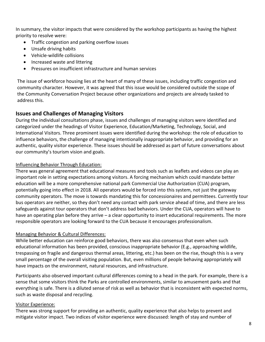In summary, the visitor impacts that were considered by the workshop participants as having the highest priority to resolve were:

- Traffic congestion and parking overflow issues
- Unsafe driving habits
- Vehicle-wildlife collisions
- Increased waste and littering
- Pressures on insufficient infrastructure and human services

The issue of workforce housing lies at the heart of many of these issues, including traffic congestion and community character. However, it was agreed that this issue would be considered outside the scope of the Community Conversation Project because other organizations and projects are already tasked to address this.

#### **Issues and Challenges of Managing Visitors**

During the individual consultations phase, issues and challenges of managing visitors were identified and categorized under the headings of Visitor Experience, Education/Marketing, Technology, Social, and International Visitors. Three prominent issues were identified during the workshop: the role of education to influence behaviors, the challenge of managing intentionally inappropriate behavior, and providing for an authentic, quality visitor experience. These issues should be addressed as part of future conversations about our community's tourism vision and goals.

#### Influencing Behavior Through Education:

There was general agreement that educational measures and tools such as leaflets and videos can play an important role in setting expectations among visitors. A forcing mechanism which could mandate better education will be a more comprehensive national park Commercial Use Authorization (CUA) program, potentially going into effect in 2018. All operators would be forced into this system, not just the gateway community operators. The move is towards mandating this for concessionaires and permittees. Currently tour bus operators are neither, so they don't need any contact with park service ahead of time, and there are less safeguards against tour operators that don't address bad behaviors. Under the CUA, operators will have to have an operating plan before they arrive – a clear opportunity to insert educational requirements. The more responsible operators are looking forward to the CUA because it encourages professionalism.

#### Managing Behavior & Cultural Differences:

While better education can reinforce good behaviors, there was also consensus that even when such educational information has been provided, conscious inappropriate behavior (E.g., approaching wildlife, trespassing on fragile and dangerous thermal areas, littering, etc.) has been on the rise, though this is a very small percentage of the overall visiting population. But, even millions of people behaving appropriately will have impacts on the environment, natural resources, and infrastructure.

Participants also observed important cultural differences coming to a head in the park. For example, there is a sense that some visitors think the Parks are controlled environments, similar to amusement parks and that everything is safe. There is a diluted sense of risk as well as behavior that is inconsistent with expected norms, such as waste disposal and recycling.

#### Visitor Experience:

There was strong support for providing an authentic, quality experience that also helps to prevent and mitigate visitor impact. Two indices of visitor experience were discussed: length of stay and number of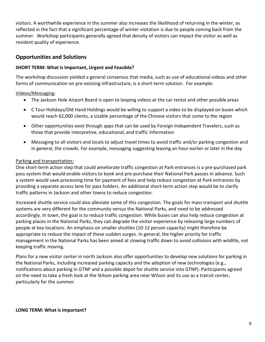visitors. A worthwhile experience in the summer also increases the likelihood of returning in the winter, as reflected in the fact that a significant percentage of winter visitation is due to people coming back from the summer. Workshop participants generally agreed that density of visitors can impact the visitor as well as resident quality of experience.

### **Opportunities and Solutions**

#### **SHORT TERM: What is Important, Urgent and Feasible?**

The workshop discussion yielded a general consensus that media, such as use of educational videos and other forms of communication on pre-existing infrastructure, is a short-term solution. For example:

#### Videos/Messaging:

- The Jackson Hole Airport Board is open to looping videos at the car rental and other possible areas
- C Tour Holidays/Old Hand Holdings would be willing to support a video to be displayed on buses which would reach 62,000 clients, a sizable percentage of the Chinese visitors that come to the region
- Other opportunities exist through apps that can be used by Foreign Independent Travelers, such as those that provide interpretive, educational, and traffic information
- Messaging to all visitors and locals to adjust travel times to avoid traffic and/or parking congestion and in general, the crowds. For example, messaging suggesting leaving an hour earlier or later in the day

#### Parking and transportation:

One short-term action step that could ameliorate traffic congestion at Park entrances is a pre-purchased park pass system that would enable visitors to book and pre-purchase their National Park passes in advance. Such a system would save processing time for payment of fees and help reduce congestion at Park entrances by providing a separate access lane for pass holders. An additional short-term action step would be to clarify traffic patterns in Jackson and other towns to reduce congestion.

Increased shuttle service could also alleviate some of this congestion. The goals for mass transport and shuttle systems are very different for the community versus the National Parks, and need to be addressed accordingly. In town, the goal is to reduce traffic congestion. While buses can also help reduce congestion at parking places in the National Parks, they can degrade the visitor experience by releasing large numbers of people at key locations. An emphasis on smaller shuttles (10-12 person capacity) might therefore be appropriate to reduce the impact of these sudden surges. In general, the higher priority for traffic management in the National Parks has been aimed at slowing traffic down to avoid collisions with wildlife, not keeping traffic moving.

Plans for a new visitor center in north Jackson also offer opportunities to develop new solutions for parking in the National Parks, including increased parking capacity and the adoption of new technologies (e.g., notifications about parking in GTNP and a possible depot for shuttle service into GTNP). Participants agreed on the need to take a fresh look at the Stilson parking area near Wilson and its use as a transit center, particularly for the summer.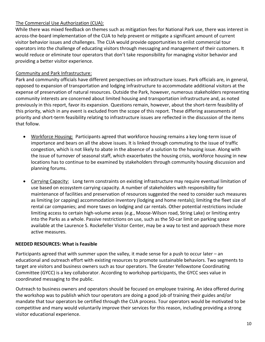#### The Commercial Use Authorization (CUA):

While there was mixed feedback on themes such as mitigation fees for National Park use, there was interest in across-the-board implementation of the CUA to help prevent or mitigate a significant amount of current visitor behavior issues and challenges. The CUA would provide opportunities to enlist commercial tour operators into the challenge of educating visitors through messaging and management of their customers. It would reduce or eliminate tour operators that don't take responsibility for managing visitor behavior and providing a better visitor experience.

#### Community and Park Infrastructure:

Park and community officials have different perspectives on infrastructure issues. Park officials are, in general, opposed to expansion of transportation and lodging infrastructure to accommodate additional visitors at the expense of preservation of natural resources. Outside the Park, however, numerous stakeholders representing community interests are concerned about limited housing and transportation infrastructure and, as noted previously in this report, favor its expansion. Questions remain, however, about the short-term feasibility of this priority, which in any event is excluded from the scope of this report. These differing assessments of priority and short-term feasibility relating to infrastructure issues are reflected in the discussion of the items that follow.

- Workforce Housing: Participants agreed that workforce housing remains a key long-term issue of importance and bears on all the above issues. It is linked through commuting to the issue of traffic congestion, which is not likely to abate in the absence of a solution to the housing issue. Along with the issue of turnover of seasonal staff, which exacerbates the housing crisis, workforce housing in new locations has to continue to be examined by stakeholders through community housing discussion and planning forums.
- Carrying Capacity: Long term constraints on existing infrastructure may require eventual limitation of use based on ecosystem carrying capacity. A number of stakeholders with responsibility for maintenance of facilities and preservation of resources suggested the need to consider such measures as limiting (or capping) accommodation inventory (lodging and home rentals); limiting the fleet size of rental car companies; and more taxes on lodging and car rentals. Other potential restrictions include limiting access to certain high-volume areas (e.g., Moose-Wilson road, String Lake) or limiting entry into the Parks as a whole. Passive restrictions on use, such as the 50-car limit on parking space available at the Laurence S. Rockefeller Visitor Center, may be a way to test and approach these more active measures.

#### **NEEDED RESOURCES: What is Feasible**

Participants agreed that with summer upon the valley, it made sense for a push to occur later – an educational and outreach effort with existing resources to promote sustainable behaviors. Two segments to target are visitors and business owners such as tour operators. The Greater Yellowstone Coordinating Committee (GYCC) is a key collaborator. According to workshop participants, the GYCC sees value in coordinated messaging to the public.

Outreach to business owners and operators should be focused on employee training. An idea offered during the workshop was to publish which tour operators are doing a good job of training their guides and/or mandate that tour operators be certified through the CUA process. Tour operators would be motivated to be competitive and many would voluntarily improve their services for this reason, including providing a strong visitor educational experience.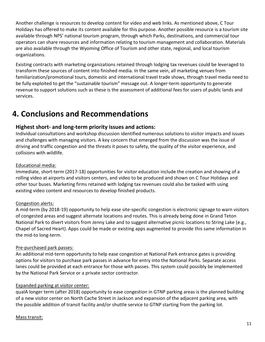Another challenge is resources to develop content for video and web links. As mentioned above, C Tour Holidays has offered to make its content available for this purpose. Another possible resource is a tourism site available through NPS' national tourism program, through which Parks, destinations, and commercial tour operators can share resources and information relating to tourism management and collaboration. Materials are also available through the Wyoming Office of Tourism and other state, regional, and local tourism organizations.

Existing contracts with marketing organizations retained through lodging tax revenues could be leveraged to transform these sources of content into finished media. In the same vein, all marketing venues from familiarization/promotional tours, domestic and international travel trade shows, through travel media need to be fully exploited to get the "sustainable tourism" message out. A longer-term opportunity to generate revenue to support solutions such as these is the assessment of additional fees for users of public lands and services.

# **4. Conclusions and Recommendations**

### **Highest short- and long-term priority issues and actions:**

Individual consultations and workshop discussion identified numerous solutions to visitor impacts and issues and challenges with managing visitors. A key concern that emerged from the discussion was the issue of driving and traffic congestion and the threats it poses to safety, the quality of the visitor experience, and collisions with wildlife.

#### Educational media:

Immediate, short-term (2017-18) opportunities for visitor education include the creation and showing of a rolling video at airports and visitors centers, and video to be produced and shown on C Tour Holidays and other tour buses. Marketing firms retained with lodging tax revenues could also be tasked with using existing video content and resources to develop finished products.

#### Congestion alerts:

A mid-term (by 2018-19) opportunity to help ease site-specific congestion is electronic signage to warn visitors of congested areas and suggest alternate locations and routes. This is already being done in Grand Teton National Park to divert visitors from Jenny Lake and to suggest alternative picnic locations to String Lake (e.g., Chapel of Sacred Heart). Apps could be made or existing apps augmented to provide this same information in the mid-to long-term.

#### Pre-purchased park passes:

An additional mid-term opportunity to help ease congestion at National Park entrance gates is providing options for visitors to purchase park passes in advance for entry into the National Parks. Separate access lanes could be provided at each entrance for those with passes. This system could possibly be implemented by the National Park Service or a private sector contractor.

#### Expanded parking at visitor center:

qualA longer term (after 2018) opportunity to ease congestion in GTNP parking areas is the planned building of a new visitor center on North Cache Street in Jackson and expansion of the adjacent parking area, with the possible addition of transit facility and/or shuttle service to GTNP starting from the parking lot.

#### Mass transit: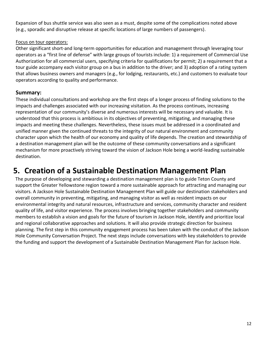Expansion of bus shuttle service was also seen as a must, despite some of the complications noted above (e.g., sporadic and disruptive release at specific locations of large numbers of passengers).

#### Focus on tour operators:

Other significant short-and long-term opportunities for education and management through leveraging tour operators as a "first line of defense" with large groups of tourists include: 1) a requirement of Commercial Use Authorization for all commercial users, specifying criteria for qualifications for permit; 2) a requirement that a tour guide accompany each visitor group on a bus in addition to the driver; and 3) adoption of a rating system that allows business owners and managers (e.g., for lodging, restaurants, etc.) and customers to evaluate tour operators according to quality and performance.

## **Summary:**

These individual consultations and workshop are the first steps of a longer process of finding solutions to the impacts and challenges associated with our increasing visitation. As the process continues, increasing representation of our community's diverse and numerous interests will be necessary and valuable. It is understood that this process is ambitious in its objectives of preventing, mitigating, and managing these impacts and meeting these challenges. Nevertheless, these issues must be addressed in a coordinated and unified manner given the continued threats to the integrity of our natural environment and community character upon which the health of our economy and quality of life depends. The creation and stewardship of a destination management plan will be the outcome of these community conversations and a significant mechanism for more proactively striving toward the vision of Jackson Hole being a world-leading sustainable destination.

## **5. Creation of a Sustainable Destination Management Plan**

The purpose of developing and stewarding a destination management plan is to guide Teton County and support the Greater Yellowstone region toward a more sustainable approach for attracting and managing our visitors. A Jackson Hole Sustainable Destination Management Plan will guide our destination stakeholders and overall community in preventing, mitigating, and managing visitor as well as resident impacts on our environmental integrity and natural resources, infrastructure and services, community character and resident quality of life, and visitor experience. The process involves bringing together stakeholders and community members to establish a vision and goals for the future of tourism in Jackson Hole, identify and prioritize local and regional collaborative approaches and solutions. It will also provide strategic direction for business planning. The first step in this community engagement process has been taken with the conduct of the Jackson Hole Community Conversation Project. The next steps include conversations with key stakeholders to provide the funding and support the development of a Sustainable Destination Management Plan for Jackson Hole.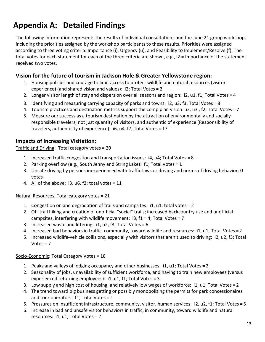# **Appendix A: Detailed Findings**

The following information represents the results of individual consultations and the June 21 group workshop, including the priorities assigned by the workshop participants to these results. Priorities were assigned according to three voting criteria: Importance (i), Urgency (u), and Feasibility to Implement/Resolve (f). The total votes for each statement for each of the three criteria are shown, e.g., i2 = Importance of the statement received two votes.

## **Vision for the future of tourism in Jackson Hole & Greater Yellowstone region:**

- 1. Housing policies and courage to limit access to protect wildlife and natural resources (visitor experience) (and shared vision and values): i2; Total Votes = 2
- 2. Longer visitor length of stay and dispersion over all seasons and region: i2, u1, f1; Total Votes = 4
- 3. Identifying and measuring carrying capacity of parks and towns: i2, u3, f3; Total Votes = 8
- 4. Tourism practices and destination metrics support the comp plan vision: i2, u3 , f2; Total Votes = 7
- 5. Measure our success as a tourism destination by the attraction of environmentally and socially responsible travelers, not just quantity of visitors, and authentic of experience (Responsibility of travelers, authenticity of experience): i6, u4, f7; Total Votes = 17

### **Impacts of Increasing Visitation:**

Traffic and Driving: Total category votes = 20

- 1. Increased traffic congestion and transportation issues: i4, u4; Total Votes = 8
- 2. Parking overflow (e.g., South Jenny and String Lake): f1; Total Votes = 1
- 3. Unsafe driving by persons inexperienced with traffic laws or driving and norms of driving behavior: 0 votes
- 4. All of the above:  $i3$ ,  $u6$ ,  $f2$ ; total votes = 11

#### Natural Resources: Total category votes = 21

- 1. Congestion on and degradation of trails and campsites: i1, u1; total votes = 2
- 2. Off-trail hiking and creation of unofficial "social" trails; increased backcountry use and unofficial campsites, interfering with wildlife movement: i3, f1 = 4; Total Votes = 7
- 3. Increased waste and littering: i1, u2, f3; Total Votes = 6
- 4. Increased bad behaviors in traffic, community, toward wildlife and resources: i1, u1; Total Votes =2
- 5. Increased wildlife-vehicle collisions, especially with visitors that aren't used to driving: i2, u2, f3; Total  $Votes = 7$

#### Socio-Economic: Total Category Votes = 18

- 1. Peaks and valleys of lodging occupancy and other businesses: i1, u1; Total Votes = 2
- 2. Seasonality of jobs, unavailability of sufficient workforce, and having to train new employees (versus experienced returning employees): i1, u1, f1; Total Votes = 3
- 3. Low supply and high cost of housing, and relatively low wages of workforce: i1, u1; Total Votes = 2
- 4. The trend toward big business getting or possibly monopolizing the permits for park concessionaires and tour operators:  $f1$ ; Total Votes = 1
- 5. Pressures on insufficient infrastructure, community, visitor, human services: i2, u2, f1; Total Votes = 5
- 6. Increase in bad and unsafe visitor behaviors in traffic, in community, toward wildlife and natural resources: i1, u1; Total Votes = 2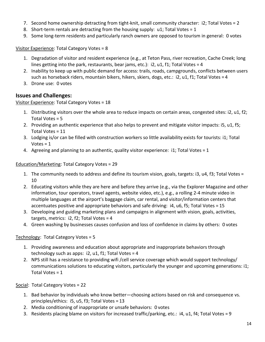- 7. Second home ownership detracting from tight-knit, small community character: i2; Total Votes = 2
- 8. Short-term rentals are detracting from the housing supply: u1; Total Votes = 1
- 9. Some long-term residents and particularly ranch owners are opposed to tourism in general: 0 votes

Visitor Experience: Total Category Votes = 8

- 1. Degradation of visitor and resident experience (e.g., at Teton Pass, river recreation, Cache Creek; long lines getting into the park, restaurants, bear jams, etc.): i2, u1, f1; Total Votes = 4
- 2. Inability to keep up with public demand for access: trails, roads, campgrounds, conflicts between users such as horseback riders, mountain bikers, hikers, skiers, dogs, etc.: i2, u1, f1; Total Votes = 4
- 3. Drone use: 0 votes

### **Issues and Challenges:**

#### Visitor Experience: Total Category Votes = 18

- 1. Distributing visitors over the whole area to reduce impacts on certain areas, congested sites: i2, u1, f2; Total Votes = 5
- 2. Providing an authentic experience that also helps to prevent and mitigate visitor impacts: i5, u1, f5; Total Votes = 11
- 3. Lodging is/or can be filled with construction workers so little availability exists for tourists: i1; Total  $Votes = 1$
- 4. Agreeing and planning to an authentic, quality visitor experience: i1; Total Votes = 1

#### Education/Marketing: Total Category Votes = 29

- 1. The community needs to address and define its tourism vision, goals, targets: i3, u4, f3; Total Votes = 10
- 2. Educating visitors while they are here and before they arrive (e.g., via the Explorer Magazine and other information, tour operators, travel agents, website video, etc.), e.g., a rolling 2-4 minute video in multiple languages at the airport's baggage claim, car rental, and visitor/information centers that accentuates positive and appropriate behaviors and safe driving: i4, u6, f5; Total Votes = 15
- 3. Developing and guiding marketing plans and campaigns in alignment with vision, goals, activities, targets, metrics: i2, f2; Total Votes = 4
- 4. Green washing by businesses causes confusion and loss of confidence in claims by others: 0 votes

#### Technology: Total Category Votes = 5

- 1. Providing awareness and education about appropriate and inappropriate behaviors through technology such as apps:  $i2$ ,  $u1$ ,  $f1$ ; Total Votes = 4
- 2. NPS still has a resistance to providing wifi /cell service coverage which would support technology/ communications solutions to educating visitors, particularly the younger and upcoming generations: i1; Total Votes = 1

Social: Total Category Votes = 22

- 1. Bad behavior by individuals who know better—choosing actions based on risk and consequence vs. principles/ethics: i5, u5, f3; Total Votes = 13
- 2. Media conditioning of inappropriate or unsafe behaviors: 0 votes
- 3. Residents placing blame on visitors for increased traffic/parking, etc.: i4, u1, f4; Total Votes = 9